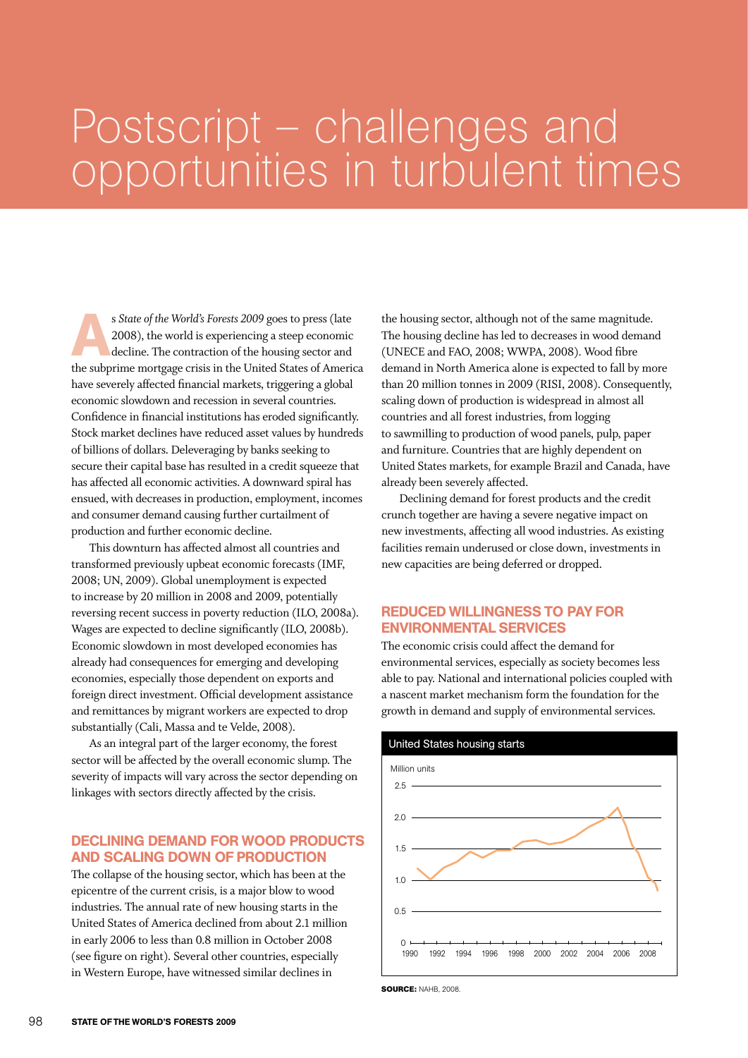# Postscript – challenges and opportunities in turbulent times

s *State of the World's Forests 2009* goes to press (late<br>2008), the world is experiencing a steep economic<br>decline. The contraction of the lousing sector and<br>the subprime meetrace grisis in the United States of Ameri 2008), the world is experiencing a steep economic decline. The contraction of the housing sector and the subprime mortgage crisis in the United States of America have severely affected financial markets, triggering a global economic slowdown and recession in several countries. Confidence in financial institutions has eroded significantly. Stock market declines have reduced asset values by hundreds of billions of dollars. Deleveraging by banks seeking to secure their capital base has resulted in a credit squeeze that has affected all economic activities. A downward spiral has ensued, with decreases in production, employment, incomes and consumer demand causing further curtailment of production and further economic decline.

This downturn has affected almost all countries and transformed previously upbeat economic forecasts (IMF, 2008; UN, 2009). Global unemployment is expected to increase by 20 million in 2008 and 2009, potentially reversing recent success in poverty reduction (ILO, 2008a). Wages are expected to decline significantly (ILO, 2008b). Economic slowdown in most developed economies has already had consequences for emerging and developing economies, especially those dependent on exports and foreign direct investment. Official development assistance and remittances by migrant workers are expected to drop substantially (Cali, Massa and te Velde, 2008).

As an integral part of the larger economy, the forest sector will be affected by the overall economic slump. The severity of impacts will vary across the sector depending on linkages with sectors directly affected by the crisis.

### Declining demand for wood products and scaling down of production

The collapse of the housing sector, which has been at the epicentre of the current crisis, is a major blow to wood industries. The annual rate of new housing starts in the United States of America declined from about 2.1 million in early 2006 to less than 0.8 million in October 2008 (see figure on right). Several other countries, especially in Western Europe, have witnessed similar declines in

the housing sector, although not of the same magnitude. The housing decline has led to decreases in wood demand (UNECE and FAO, 2008; WWPA, 2008). Wood fibre demand in North America alone is expected to fall by more than 20 million tonnes in 2009 (RISI, 2008). Consequently, scaling down of production is widespread in almost all countries and all forest industries, from logging to sawmilling to production of wood panels, pulp, paper and furniture. Countries that are highly dependent on United States markets, for example Brazil and Canada, have already been severely affected.

Declining demand for forest products and the credit crunch together are having a severe negative impact on new investments, affecting all wood industries. As existing facilities remain underused or close down, investments in new capacities are being deferred or dropped.

## Reduced willingness to pay for environmental services

The economic crisis could affect the demand for environmental services, especially as society becomes less able to pay. National and international policies coupled with a nascent market mechanism form the foundation for the growth in demand and supply of environmental services.



**source:** NAHB, 2008.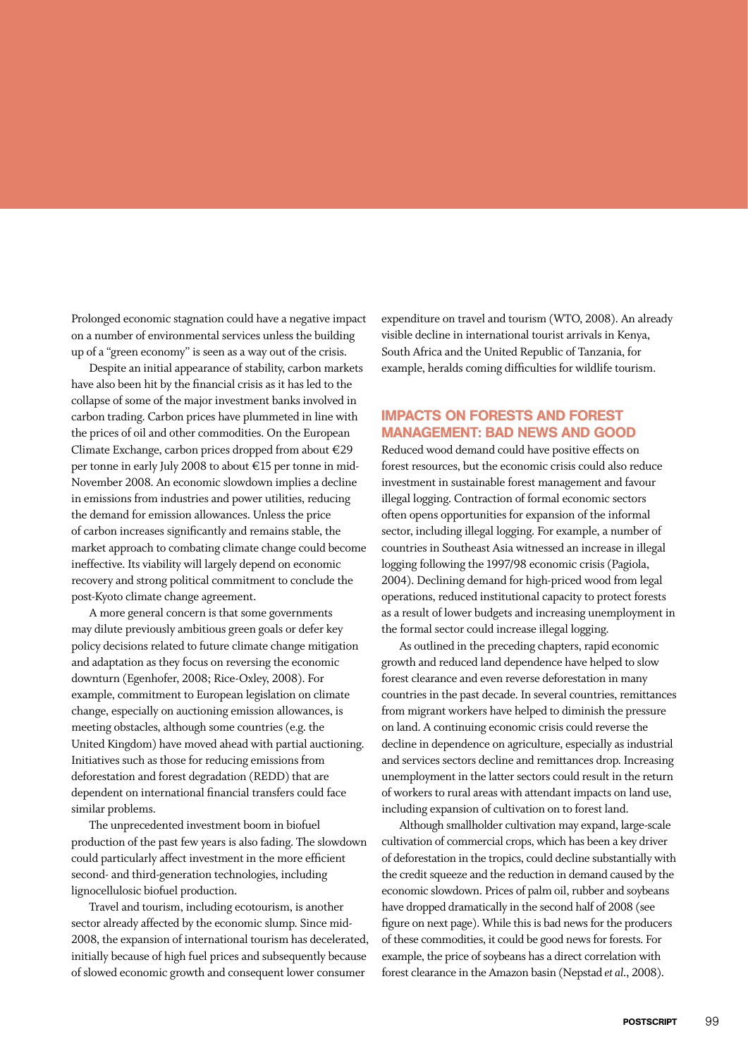Prolonged economic stagnation could have a negative impact on a number of environmental services unless the building up of a "green economy" is seen as a way out of the crisis.

Despite an initial appearance of stability, carbon markets have also been hit by the financial crisis as it has led to the collapse of some of the major investment banks involved in carbon trading. Carbon prices have plummeted in line with the prices of oil and other commodities. On the European Climate Exchange, carbon prices dropped from about €29 per tonne in early July 2008 to about €15 per tonne in mid-November 2008. An economic slowdown implies a decline in emissions from industries and power utilities, reducing the demand for emission allowances. Unless the price of carbon increases significantly and remains stable, the market approach to combating climate change could become ineffective. Its viability will largely depend on economic recovery and strong political commitment to conclude the post-Kyoto climate change agreement.

A more general concern is that some governments may dilute previously ambitious green goals or defer key policy decisions related to future climate change mitigation and adaptation as they focus on reversing the economic downturn (Egenhofer, 2008; Rice-Oxley, 2008). For example, commitment to European legislation on climate change, especially on auctioning emission allowances, is meeting obstacles, although some countries (e.g. the United Kingdom) have moved ahead with partial auctioning. Initiatives such as those for reducing emissions from deforestation and forest degradation (REDD) that are dependent on international financial transfers could face similar problems.

The unprecedented investment boom in biofuel production of the past few years is also fading. The slowdown could particularly affect investment in the more efficient second- and third-generation technologies, including lignocellulosic biofuel production.

Travel and tourism, including ecotourism, is another sector already affected by the economic slump. Since mid-2008, the expansion of international tourism has decelerated, initially because of high fuel prices and subsequently because of slowed economic growth and consequent lower consumer

expenditure on travel and tourism (WTO, 2008). An already visible decline in international tourist arrivals in Kenya, South Africa and the United Republic of Tanzania, for example, heralds coming difficulties for wildlife tourism.

### Impacts on forests and forest management: bad news and good

Reduced wood demand could have positive effects on forest resources, but the economic crisis could also reduce investment in sustainable forest management and favour illegal logging. Contraction of formal economic sectors often opens opportunities for expansion of the informal sector, including illegal logging. For example, a number of countries in Southeast Asia witnessed an increase in illegal logging following the 1997/98 economic crisis (Pagiola, 2004). Declining demand for high-priced wood from legal operations, reduced institutional capacity to protect forests as a result of lower budgets and increasing unemployment in the formal sector could increase illegal logging.

As outlined in the preceding chapters, rapid economic growth and reduced land dependence have helped to slow forest clearance and even reverse deforestation in many countries in the past decade. In several countries, remittances from migrant workers have helped to diminish the pressure on land. A continuing economic crisis could reverse the decline in dependence on agriculture, especially as industrial and services sectors decline and remittances drop. Increasing unemployment in the latter sectors could result in the return of workers to rural areas with attendant impacts on land use, including expansion of cultivation on to forest land.

Although smallholder cultivation may expand, large-scale cultivation of commercial crops, which has been a key driver of deforestation in the tropics, could decline substantially with the credit squeeze and the reduction in demand caused by the economic slowdown. Prices of palm oil, rubber and soybeans have dropped dramatically in the second half of 2008 (see figure on next page). While this is bad news for the producers of these commodities, it could be good news for forests. For example, the price of soybeans has a direct correlation with forest clearance in the Amazon basin (Nepstad *et al*., 2008).